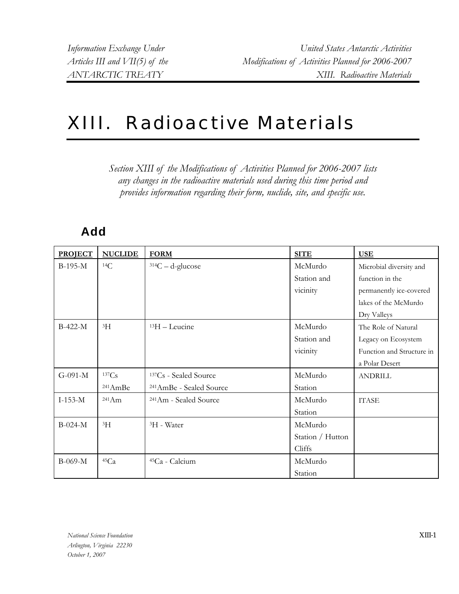## XIII. Radioactive Materials

*Section XIII of the Modifications of Activities Planned for 2006-2007 lists any changes in the radioactive materials used during this time period and provides information regarding their form, nuclide, site, and specific use.* 

## **Add**

| <b>PROJECT</b> | <b>NUCLIDE</b>      | <b>FORM</b>                         | <b>SITE</b>      | <b>USE</b>                |
|----------------|---------------------|-------------------------------------|------------------|---------------------------|
| $B-195-M$      | ${}^{14}C$          | $314C - d$ -glucose                 | McMurdo          | Microbial diversity and   |
|                |                     |                                     | Station and      | function in the           |
|                |                     |                                     | vicinity         | permanently ice-covered   |
|                |                     |                                     |                  | lakes of the McMurdo      |
|                |                     |                                     |                  | Dry Valleys               |
| $B-422-M$      | 3H                  | $13H$ – Leucine                     | McMurdo          | The Role of Natural       |
|                |                     |                                     | Station and      | Legacy on Ecosystem       |
|                |                     |                                     | vicinity         | Function and Structure in |
|                |                     |                                     |                  | a Polar Desert            |
| $G-091-M$      | 137Cs               | <sup>137</sup> Cs - Sealed Source   | McMurdo          | <b>ANDRILL</b>            |
|                | <sup>241</sup> AmBe | <sup>241</sup> AmBe - Sealed Source | Station          |                           |
| $I-153-M$      | $^{241}Am$          | <sup>241</sup> Am - Sealed Source   | McMurdo          | <b>ITASE</b>              |
|                |                     |                                     | Station          |                           |
| $B-024-M$      | $\rm{^{3}H}$        | <sup>3</sup> H - Water              | McMurdo          |                           |
|                |                     |                                     | Station / Hutton |                           |
|                |                     |                                     | Cliffs           |                           |
| B-069-M        | 45Ca                | <sup>45</sup> Ca - Calcium          | McMurdo          |                           |
|                |                     |                                     | Station          |                           |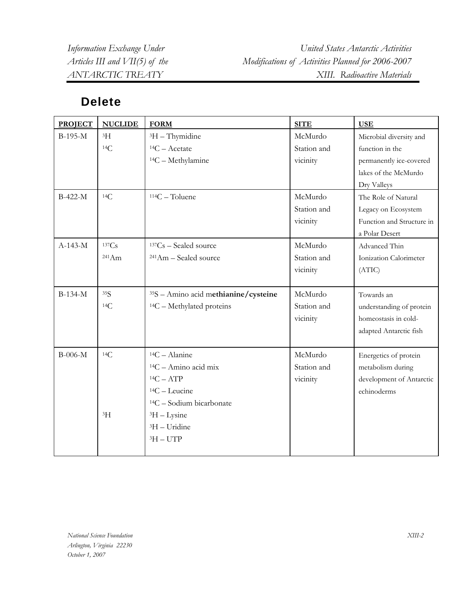*Information Exchange Under United States Antarctic Activities Articles III and VII(5) of the Modifications of Activities Planned for 2006-2007 ANTARCTIC TREATY XIII. Radioactive Materials* 

## **Delete**

| <b>PROJECT</b> | <b>NUCLIDE</b> | <b>FORM</b>                          | <b>SITE</b> | <b>USE</b>                |
|----------------|----------------|--------------------------------------|-------------|---------------------------|
| B-195-M        | ${}^{3}H$      | ${}^{3}H$ – Thymidine                | McMurdo     | Microbial diversity and   |
|                | 14C            | $14C -$ Acetate                      | Station and | function in the           |
|                |                | $14C - Methylamine$                  | vicinity    | permanently ice-covered   |
|                |                |                                      |             | lakes of the McMurdo      |
|                |                |                                      |             | Dry Valleys               |
| B-422-M        | 14C            | $114C - Toluene$                     | McMurdo     | The Role of Natural       |
|                |                |                                      | Station and | Legacy on Ecosystem       |
|                |                |                                      | vicinity    | Function and Structure in |
|                |                |                                      |             | a Polar Desert            |
| $A-143-M$      | 137Cs          | $137Cs - Scaled source$              | McMurdo     | Advanced Thin             |
|                | 241Am          | <sup>241</sup> Am - Sealed source    | Station and | Ionization Calorimeter    |
|                |                |                                      | vicinity    | (ATIC)                    |
|                |                |                                      |             |                           |
| $B-134-M$      | 35S            | 35S - Amino acid methianine/cysteine | McMurdo     | Towards an                |
|                | 14C            | $14C - Methylated$ proteins          | Station and | understanding of protein  |
|                |                |                                      | vicinity    | homeostasis in cold-      |
|                |                |                                      |             | adapted Antarctic fish    |
|                |                |                                      |             |                           |
| $B-006-M$      | 14C            | $14C -$ Alanine                      | McMurdo     | Energetics of protein     |
|                |                | $14C - Amino acid mix$               | Station and | metabolism during         |
|                |                | ${}^{14}C - ATP$                     | vicinity    | development of Antarctic  |
|                |                | $14C - Leucine$                      |             | echinoderms               |
|                |                | $14C$ – Sodium bicarbonate           |             |                           |
|                | $\rm{^{3}H}$   | ${}^{3}H-Lysine$                     |             |                           |
|                |                | ${}^{3}H-U$ ridine                   |             |                           |
|                |                | $3H - UTP$                           |             |                           |
|                |                |                                      |             |                           |